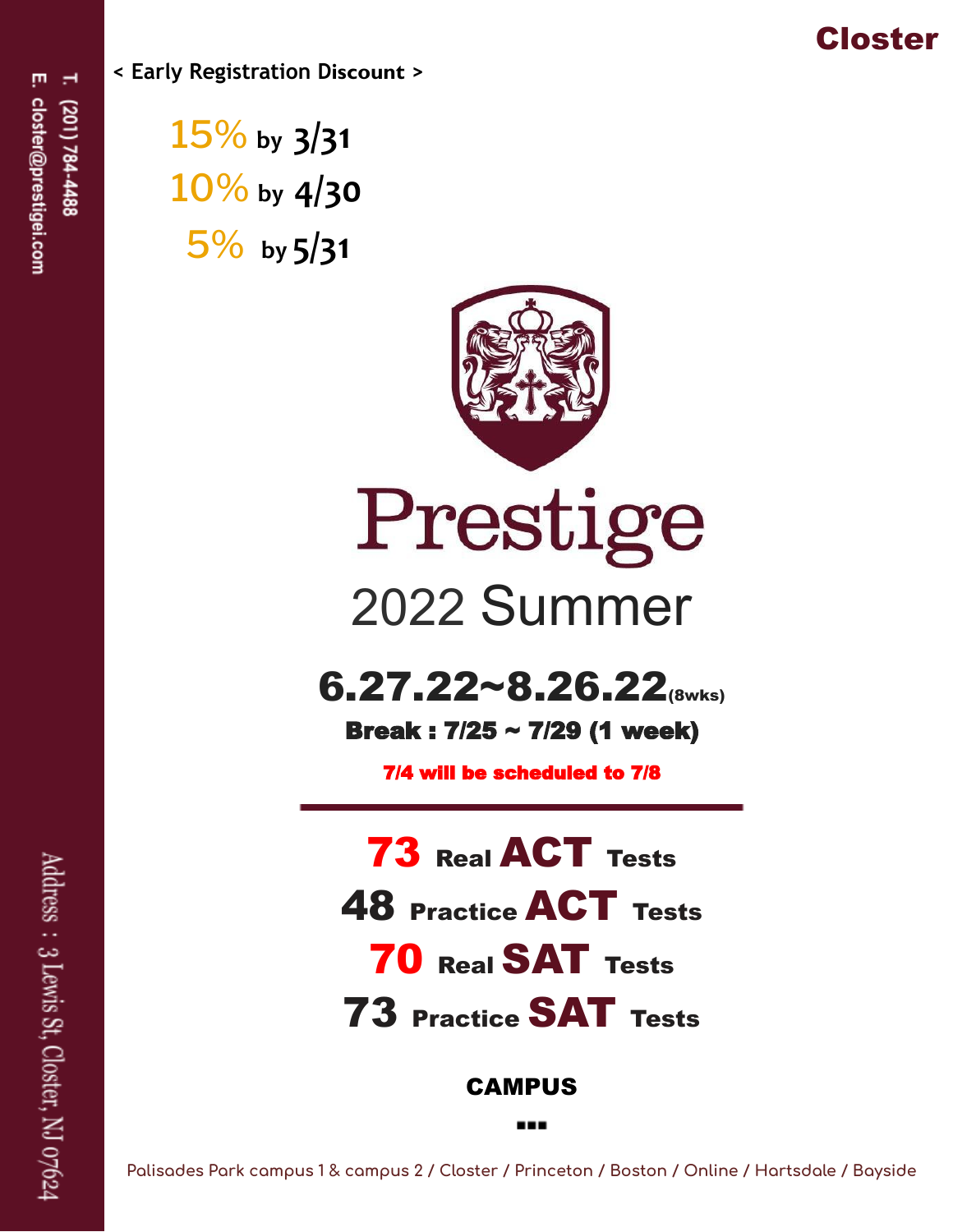

**< Early Registration Discount >**

15% **by 3/31** 10% **by 4/30** 5% **by 5/31**



# Prestige 2022 Summer

# $6.27.22~8.26.22$ <sub>(8wks)</sub>

Break : 7/25 ~ 7/29 (1 week)

7/4 will be scheduled to 7/8

**73 Real ACT Tests** 48 Practice ACT Tests 70 Real SAT Tests 73 Practice SAT Tests CAMPUS

Palisades Park campus 1 & campus 2 / Closter / Princeton / Boston / Online / Hartsdale / Bayside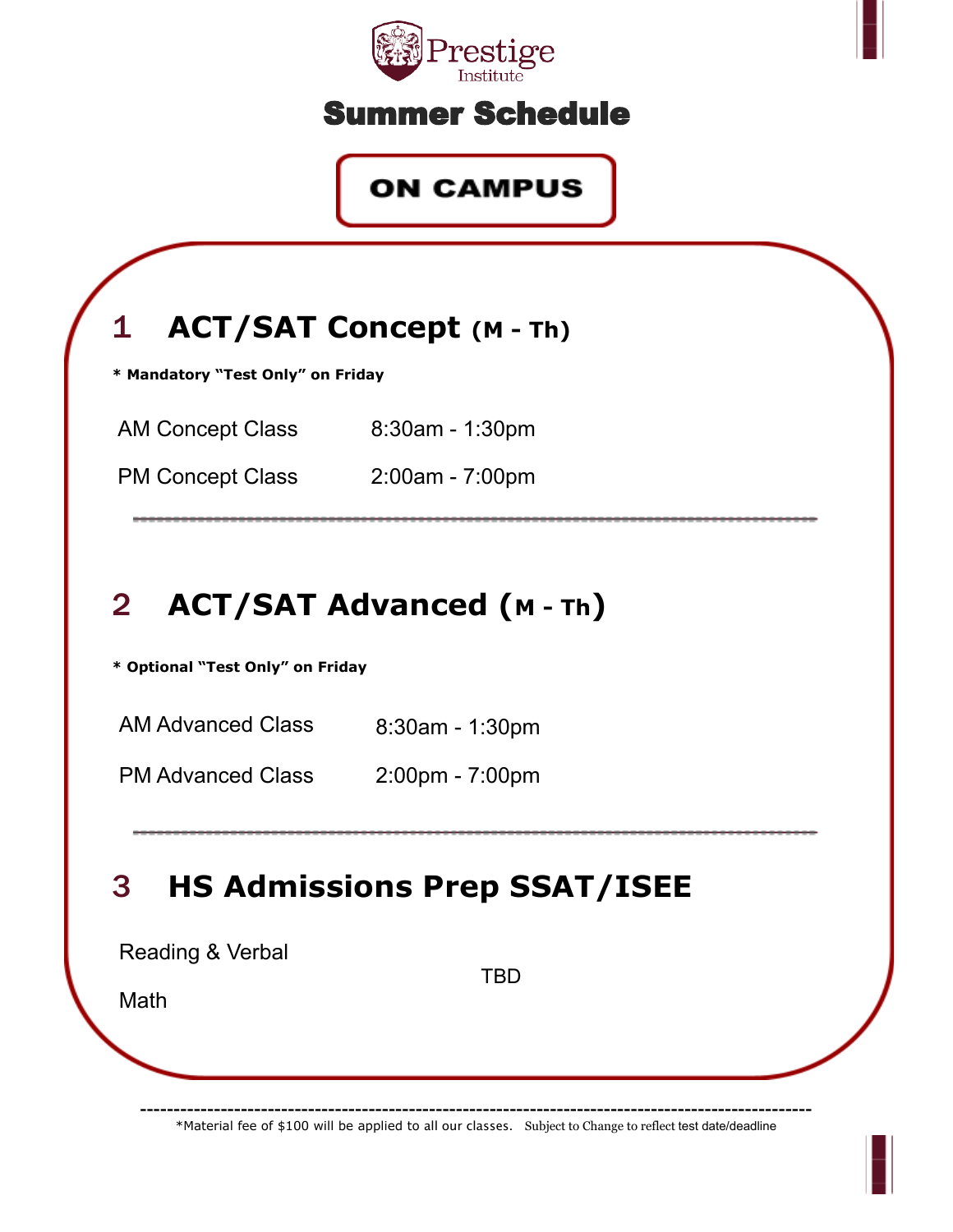

#### Summer Schedule

#### **ON CAMPUS**



# 2 **ACT/SAT Advanced (<sup>M</sup> - Th)**

**\* Optional "Test Only" on Friday**

AM Advanced Class 8:30am - 1:30pm

PM Advanced Class 2:00pm - 7:00pm

# 3 **HS Admissions Prep SSAT/ISEE**

| Reading & Verbal |            |  |
|------------------|------------|--|
| Math             | <b>TBD</b> |  |
|                  |            |  |
|                  |            |  |

**----------------------------------------------------------------------------------------------------** \*Material fee of \$100 will be applied to all our classes. Subject to Change to reflect test date/deadline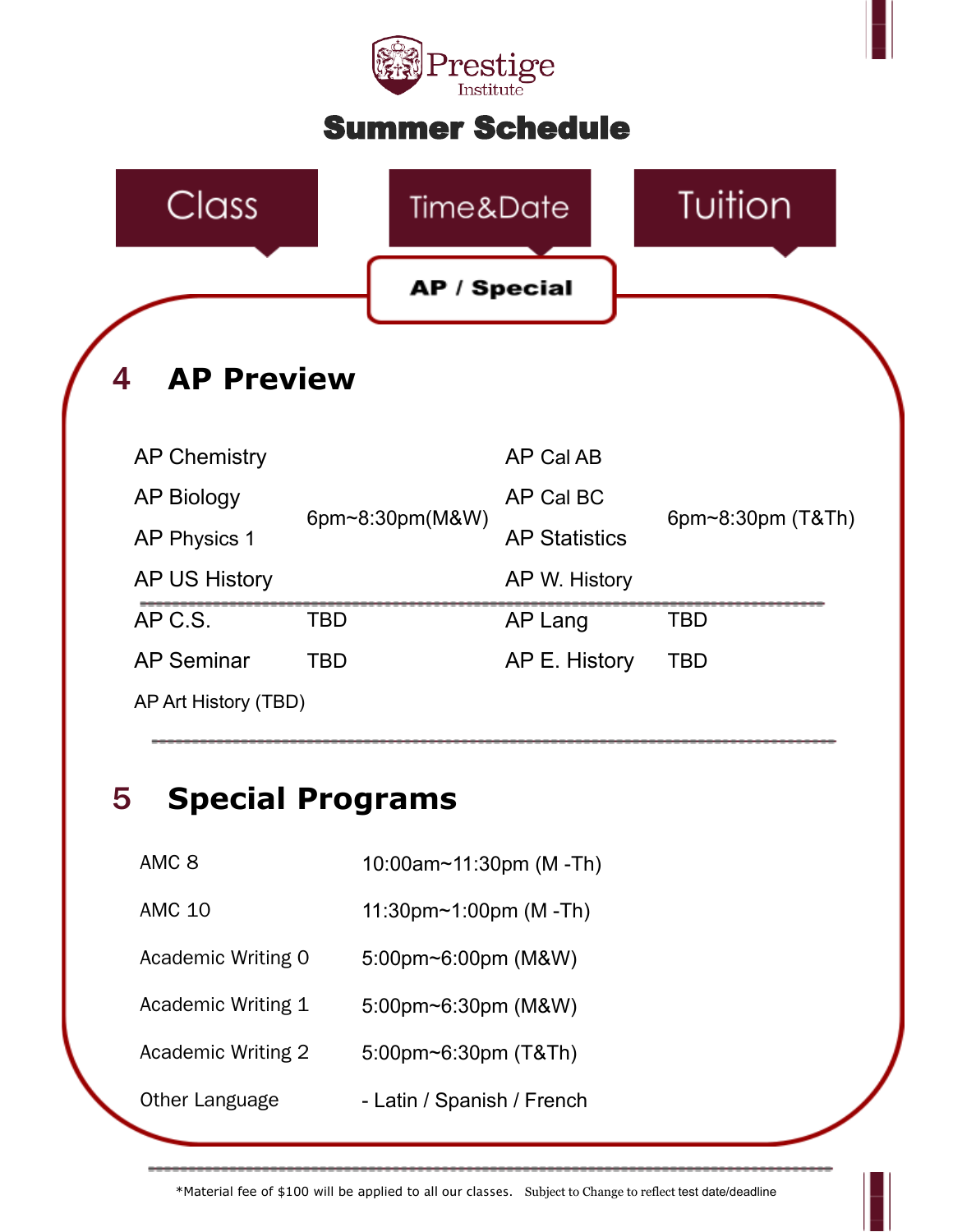

#### Summer Schedule



#### 5 **Special Programs**

AMC 8 10:00am~11:30pm (M -Th)

AMC 10 11:30pm~1:00pm (M -Th)

Academic Writing 0 5:00pm~6:00pm (M&W)

Academic Writing 1 5:00pm~6:30pm (M&W)

Academic Writing 2 5:00pm~6:30pm (T&Th)

Other Language **- Latin / Spanish / French**